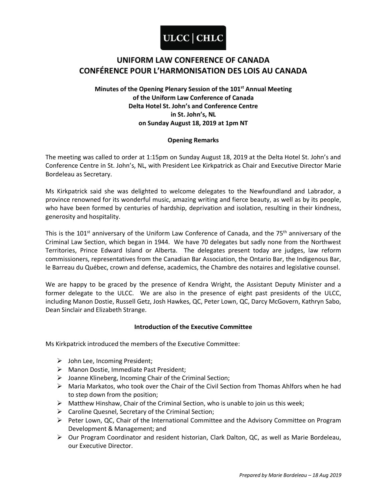### **UNIFORM LAW CONFERENCE OF CANADA CONFÉRENCE POUR L'HARMONISATION DES LOIS AU CANADA**

### **Minutes of the Opening Plenary Session of the 101st Annual Meeting of the Uniform Law Conference of Canada Delta Hotel St. John's and Conference Centre in St. John's, NL on Sunday August 18, 2019 at 1pm NT**

### **Opening Remarks**

The meeting was called to order at 1:15pm on Sunday August 18, 2019 at the Delta Hotel St. John's and Conference Centre in St. John's, NL, with President Lee Kirkpatrick as Chair and Executive Director Marie Bordeleau as Secretary.

Ms Kirkpatrick said she was delighted to welcome delegates to the Newfoundland and Labrador, a province renowned for its wonderful music, amazing writing and fierce beauty, as well as by its people, who have been formed by centuries of hardship, deprivation and isolation, resulting in their kindness, generosity and hospitality.

This is the 101<sup>st</sup> anniversary of the Uniform Law Conference of Canada, and the 75<sup>th</sup> anniversary of the Criminal Law Section, which began in 1944. We have 70 delegates but sadly none from the Northwest Territories, Prince Edward Island or Alberta. The delegates present today are judges, law reform commissioners, representatives from the Canadian Bar Association, the Ontario Bar, the Indigenous Bar, le Barreau du Québec, crown and defense, academics, the Chambre des notaires and legislative counsel.

We are happy to be graced by the presence of Kendra Wright, the Assistant Deputy Minister and a former delegate to the ULCC. We are also in the presence of eight past presidents of the ULCC, including Manon Dostie, Russell Getz, Josh Hawkes, QC, Peter Lown, QC, Darcy McGovern, Kathryn Sabo, Dean Sinclair and Elizabeth Strange.

### **Introduction of the Executive Committee**

Ms Kirkpatrick introduced the members of the Executive Committee:

- $\triangleright$  John Lee, Incoming President;
- Manon Dostie, Immediate Past President;
- $\triangleright$  Joanne Klineberg, Incoming Chair of the Criminal Section;
- Maria Markatos, who took over the Chair of the Civil Section from Thomas Ahlfors when he had to step down from the position;
- $\triangleright$  Matthew Hinshaw, Chair of the Criminal Section, who is unable to join us this week;
- $\triangleright$  Caroline Quesnel, Secretary of the Criminal Section;
- $\triangleright$  Peter Lown, QC, Chair of the International Committee and the Advisory Committee on Program Development & Management; and
- Our Program Coordinator and resident historian, Clark Dalton, QC, as well as Marie Bordeleau, our Executive Director.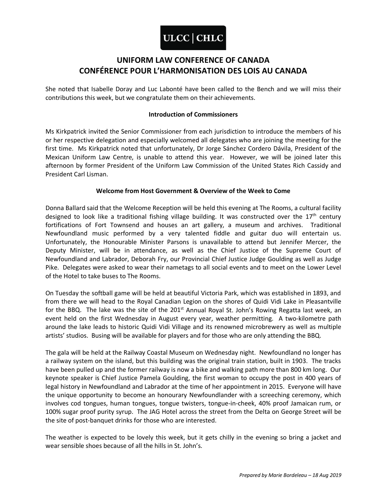## **UNIFORM LAW CONFERENCE OF CANADA CONFÉRENCE POUR L'HARMONISATION DES LOIS AU CANADA**

She noted that Isabelle Doray and Luc Labonté have been called to the Bench and we will miss their contributions this week, but we congratulate them on their achievements.

#### **Introduction of Commissioners**

Ms Kirkpatrick invited the Senior Commissioner from each jurisdiction to introduce the members of his or her respective delegation and especially welcomed all delegates who are joining the meeting for the first time. Ms Kirkpatrick noted that unfortunately, Dr Jorge Sánchez Cordero Dávila, President of the Mexican Uniform Law Centre, is unable to attend this year. However, we will be joined later this afternoon by former President of the Uniform Law Commission of the United States Rich Cassidy and President Carl Lisman.

### **Welcome from Host Government & Overview of the Week to Come**

Donna Ballard said that the Welcome Reception will be held this evening at The Rooms, a cultural facility designed to look like a traditional fishing village building. It was constructed over the  $17<sup>th</sup>$  century fortifications of Fort Townsend and houses an art gallery, a museum and archives. Traditional Newfoundland music performed by a very talented fiddle and guitar duo will entertain us. Unfortunately, the Honourable Minister Parsons is unavailable to attend but Jennifer Mercer, the Deputy Minister, will be in attendance, as well as the Chief Justice of the Supreme Court of Newfoundland and Labrador, Deborah Fry, our Provincial Chief Justice Judge Goulding as well as Judge Pike. Delegates were asked to wear their nametags to all social events and to meet on the Lower Level of the Hotel to take buses to The Rooms.

On Tuesday the softball game will be held at beautiful Victoria Park, which was established in 1893, and from there we will head to the Royal Canadian Legion on the shores of Quidi Vidi Lake in Pleasantville for the BBQ. The lake was the site of the 201<sup>st</sup> Annual Royal St. John's Rowing Regatta last week, an event held on the first Wednesday in August every year, weather permitting. A two-kilometre path around the lake leads to historic Quidi Vidi Village and its renowned microbrewery as well as multiple artists' studios. Busing will be available for players and for those who are only attending the BBQ.

The gala will be held at the Railway Coastal Museum on Wednesday night. Newfoundland no longer has a railway system on the island, but this building was the original train station, built in 1903. The tracks have been pulled up and the former railway is now a bike and walking path more than 800 km long. Our keynote speaker is Chief Justice Pamela Goulding, the first woman to occupy the post in 400 years of legal history in Newfoundland and Labrador at the time of her appointment in 2015. Everyone will have the unique opportunity to become an honourary Newfoundlander with a screeching ceremony, which involves cod tongues, human tongues, tongue twisters, tongue-in-cheek, 40% proof Jamaican rum, or 100% sugar proof purity syrup. The JAG Hotel across the street from the Delta on George Street will be the site of post-banquet drinks for those who are interested.

The weather is expected to be lovely this week, but it gets chilly in the evening so bring a jacket and wear sensible shoes because of all the hills in St. John's.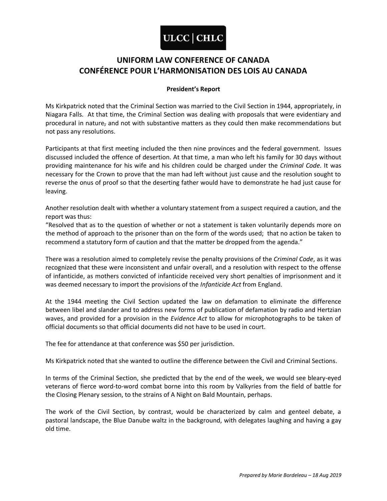## **UNIFORM LAW CONFERENCE OF CANADA CONFÉRENCE POUR L'HARMONISATION DES LOIS AU CANADA**

### **President's Report**

Ms Kirkpatrick noted that the Criminal Section was married to the Civil Section in 1944, appropriately, in Niagara Falls. At that time, the Criminal Section was dealing with proposals that were evidentiary and procedural in nature, and not with substantive matters as they could then make recommendations but not pass any resolutions.

Participants at that first meeting included the then nine provinces and the federal government. Issues discussed included the offence of desertion. At that time, a man who left his family for 30 days without providing maintenance for his wife and his children could be charged under the *Criminal Code*. It was necessary for the Crown to prove that the man had left without just cause and the resolution sought to reverse the onus of proof so that the deserting father would have to demonstrate he had just cause for leaving.

Another resolution dealt with whether a voluntary statement from a suspect required a caution, and the report was thus:

"Resolved that as to the question of whether or not a statement is taken voluntarily depends more on the method of approach to the prisoner than on the form of the words used; that no action be taken to recommend a statutory form of caution and that the matter be dropped from the agenda."

There was a resolution aimed to completely revise the penalty provisions of the *Criminal Code*, as it was recognized that these were inconsistent and unfair overall, and a resolution with respect to the offense of infanticide, as mothers convicted of infanticide received very short penalties of imprisonment and it was deemed necessary to import the provisions of the *Infanticide Act* from England.

At the 1944 meeting the Civil Section updated the law on defamation to eliminate the difference between libel and slander and to address new forms of publication of defamation by radio and Hertzian waves, and provided for a provision in the *Evidence Act* to allow for microphotographs to be taken of official documents so that official documents did not have to be used in court.

The fee for attendance at that conference was \$50 per jurisdiction.

Ms Kirkpatrick noted that she wanted to outline the difference between the Civil and Criminal Sections.

In terms of the Criminal Section, she predicted that by the end of the week, we would see bleary-eyed veterans of fierce word-to-word combat borne into this room by Valkyries from the field of battle for the Closing Plenary session, to the strains of A Night on Bald Mountain, perhaps.

The work of the Civil Section, by contrast, would be characterized by calm and genteel debate, a pastoral landscape, the Blue Danube waltz in the background, with delegates laughing and having a gay old time.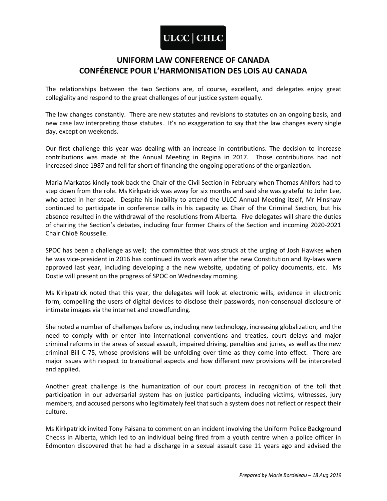## **UNIFORM LAW CONFERENCE OF CANADA CONFÉRENCE POUR L'HARMONISATION DES LOIS AU CANADA**

The relationships between the two Sections are, of course, excellent, and delegates enjoy great collegiality and respond to the great challenges of our justice system equally.

The law changes constantly. There are new statutes and revisions to statutes on an ongoing basis, and new case law interpreting those statutes. It's no exaggeration to say that the law changes every single day, except on weekends.

Our first challenge this year was dealing with an increase in contributions. The decision to increase contributions was made at the Annual Meeting in Regina in 2017. Those contributions had not increased since 1987 and fell far short of financing the ongoing operations of the organization.

Maria Markatos kindly took back the Chair of the Civil Section in February when Thomas Ahlfors had to step down from the role. Ms Kirkpatrick was away for six months and said she was grateful to John Lee, who acted in her stead. Despite his inability to attend the ULCC Annual Meeting itself, Mr Hinshaw continued to participate in conference calls in his capacity as Chair of the Criminal Section, but his absence resulted in the withdrawal of the resolutions from Alberta. Five delegates will share the duties of chairing the Section's debates, including four former Chairs of the Section and incoming 2020-2021 Chair Chloë Rousselle.

SPOC has been a challenge as well; the committee that was struck at the urging of Josh Hawkes when he was vice-president in 2016 has continued its work even after the new Constitution and By-laws were approved last year, including developing a the new website, updating of policy documents, etc. Ms Dostie will present on the progress of SPOC on Wednesday morning.

Ms Kirkpatrick noted that this year, the delegates will look at electronic wills, evidence in electronic form, compelling the users of digital devices to disclose their passwords, non-consensual disclosure of intimate images via the internet and crowdfunding.

She noted a number of challenges before us, including new technology, increasing globalization, and the need to comply with or enter into international conventions and treaties, court delays and major criminal reforms in the areas of sexual assault, impaired driving, penalties and juries, as well as the new criminal Bill C-75, whose provisions will be unfolding over time as they come into effect. There are major issues with respect to transitional aspects and how different new provisions will be interpreted and applied.

Another great challenge is the humanization of our court process in recognition of the toll that participation in our adversarial system has on justice participants, including victims, witnesses, jury members, and accused persons who legitimately feel that such a system does not reflect or respect their culture.

Ms Kirkpatrick invited Tony Paisana to comment on an incident involving the Uniform Police Background Checks in Alberta, which led to an individual being fired from a youth centre when a police officer in Edmonton discovered that he had a discharge in a sexual assault case 11 years ago and advised the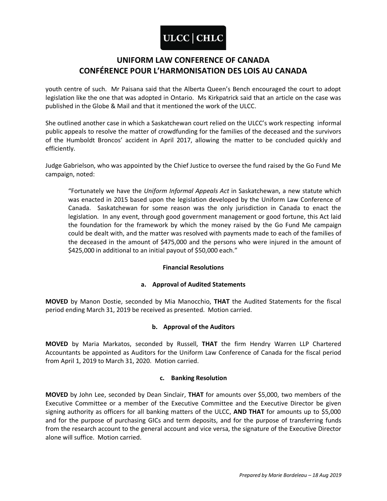## **UNIFORM LAW CONFERENCE OF CANADA CONFÉRENCE POUR L'HARMONISATION DES LOIS AU CANADA**

youth centre of such. Mr Paisana said that the Alberta Queen's Bench encouraged the court to adopt legislation like the one that was adopted in Ontario. Ms Kirkpatrick said that an article on the case was published in the Globe & Mail and that it mentioned the work of the ULCC.

She outlined another case in which a Saskatchewan court relied on the ULCC's work respecting informal public appeals to resolve the matter of crowdfunding for the families of the deceased and the survivors of the Humboldt Broncos' accident in April 2017, allowing the matter to be concluded quickly and efficiently.

Judge Gabrielson, who was appointed by the Chief Justice to oversee the fund raised by the Go Fund Me campaign, noted:

"Fortunately we have the *Uniform Informal Appeals Act* in Saskatchewan, a new statute which was enacted in 2015 based upon the legislation developed by the Uniform Law Conference of Canada. Saskatchewan for some reason was the only jurisdiction in Canada to enact the legislation. In any event, through good government management or good fortune, this Act laid the foundation for the framework by which the money raised by the Go Fund Me campaign could be dealt with, and the matter was resolved with payments made to each of the families of the deceased in the amount of \$475,000 and the persons who were injured in the amount of \$425,000 in additional to an initial payout of \$50,000 each."

### **Financial Resolutions**

### **a. Approval of Audited Statements**

**MOVED** by Manon Dostie, seconded by Mia Manocchio, **THAT** the Audited Statements for the fiscal period ending March 31, 2019 be received as presented. Motion carried.

### **b. Approval of the Auditors**

**MOVED** by Maria Markatos, seconded by Russell, **THAT** the firm Hendry Warren LLP Chartered Accountants be appointed as Auditors for the Uniform Law Conference of Canada for the fiscal period from April 1, 2019 to March 31, 2020. Motion carried.

### **c. Banking Resolution**

**MOVED** by John Lee, seconded by Dean Sinclair, **THAT** for amounts over \$5,000, two members of the Executive Committee or a member of the Executive Committee and the Executive Director be given signing authority as officers for all banking matters of the ULCC, **AND THAT** for amounts up to \$5,000 and for the purpose of purchasing GICs and term deposits, and for the purpose of transferring funds from the research account to the general account and vice versa, the signature of the Executive Director alone will suffice. Motion carried.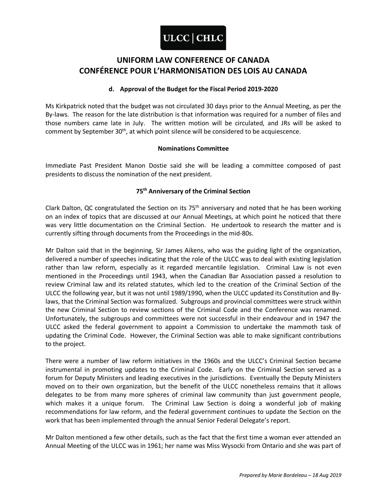## **UNIFORM LAW CONFERENCE OF CANADA CONFÉRENCE POUR L'HARMONISATION DES LOIS AU CANADA**

### **d. Approval of the Budget for the Fiscal Period 2019-2020**

Ms Kirkpatrick noted that the budget was not circulated 30 days prior to the Annual Meeting, as per the By-laws. The reason for the late distribution is that information was required for a number of files and those numbers came late in July. The written motion will be circulated, and JRs will be asked to comment by September 30<sup>th</sup>, at which point silence will be considered to be acquiescence.

### **Nominations Committee**

Immediate Past President Manon Dostie said she will be leading a committee composed of past presidents to discuss the nomination of the next president.

### **75th Anniversary of the Criminal Section**

Clark Dalton, QC congratulated the Section on its  $75<sup>th</sup>$  anniversary and noted that he has been working on an index of topics that are discussed at our Annual Meetings, at which point he noticed that there was very little documentation on the Criminal Section. He undertook to research the matter and is currently sifting through documents from the Proceedings in the mid-80s.

Mr Dalton said that in the beginning, Sir James Aikens, who was the guiding light of the organization, delivered a number of speeches indicating that the role of the ULCC was to deal with existing legislation rather than law reform, especially as it regarded mercantile legislation. Criminal Law is not even mentioned in the Proceedings until 1943, when the Canadian Bar Association passed a resolution to review Criminal law and its related statutes, which led to the creation of the Criminal Section of the ULCC the following year, but it was not until 1989/1990, when the ULCC updated its Constitution and Bylaws, that the Criminal Section was formalized. Subgroups and provincial committees were struck within the new Criminal Section to review sections of the Criminal Code and the Conference was renamed. Unfortunately, the subgroups and committees were not successful in their endeavour and in 1947 the ULCC asked the federal government to appoint a Commission to undertake the mammoth task of updating the Criminal Code. However, the Criminal Section was able to make significant contributions to the project.

There were a number of law reform initiatives in the 1960s and the ULCC's Criminal Section became instrumental in promoting updates to the Criminal Code. Early on the Criminal Section served as a forum for Deputy Ministers and leading executives in the jurisdictions. Eventually the Deputy Ministers moved on to their own organization, but the benefit of the ULCC nonetheless remains that it allows delegates to be from many more spheres of criminal law community than just government people, which makes it a unique forum. The Criminal Law Section is doing a wonderful job of making recommendations for law reform, and the federal government continues to update the Section on the work that has been implemented through the annual Senior Federal Delegate's report.

Mr Dalton mentioned a few other details, such as the fact that the first time a woman ever attended an Annual Meeting of the ULCC was in 1961; her name was Miss Wysocki from Ontario and she was part of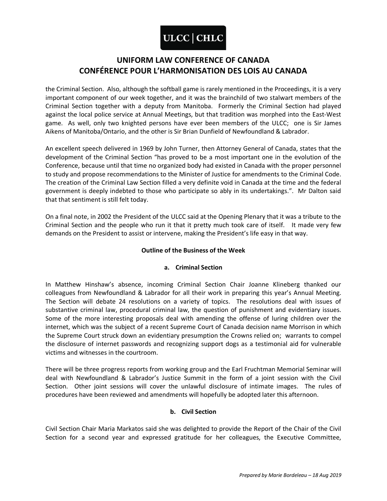## **UNIFORM LAW CONFERENCE OF CANADA CONFÉRENCE POUR L'HARMONISATION DES LOIS AU CANADA**

the Criminal Section. Also, although the softball game is rarely mentioned in the Proceedings, it is a very important component of our week together, and it was the brainchild of two stalwart members of the Criminal Section together with a deputy from Manitoba. Formerly the Criminal Section had played against the local police service at Annual Meetings, but that tradition was morphed into the East-West game. As well, only two knighted persons have ever been members of the ULCC; one is Sir James Aikens of Manitoba/Ontario, and the other is Sir Brian Dunfield of Newfoundland & Labrador.

An excellent speech delivered in 1969 by John Turner, then Attorney General of Canada, states that the development of the Criminal Section "has proved to be a most important one in the evolution of the Conference, because until that time no organized body had existed in Canada with the proper personnel to study and propose recommendations to the Minister of Justice for amendments to the Criminal Code. The creation of the Criminal Law Section filled a very definite void in Canada at the time and the federal government is deeply indebted to those who participate so ably in its undertakings.". Mr Dalton said that that sentiment is still felt today.

On a final note, in 2002 the President of the ULCC said at the Opening Plenary that it was a tribute to the Criminal Section and the people who run it that it pretty much took care of itself. It made very few demands on the President to assist or intervene, making the President's life easy in that way.

### **Outline of the Business of the Week**

### **a. Criminal Section**

In Matthew Hinshaw's absence, incoming Criminal Section Chair Joanne Klineberg thanked our colleagues from Newfoundland & Labrador for all their work in preparing this year's Annual Meeting. The Section will debate 24 resolutions on a variety of topics. The resolutions deal with issues of substantive criminal law, procedural criminal law, the question of punishment and evidentiary issues. Some of the more interesting proposals deal with amending the offense of luring children over the internet, which was the subject of a recent Supreme Court of Canada decision name Morrison in which the Supreme Court struck down an evidentiary presumption the Crowns relied on; warrants to compel the disclosure of internet passwords and recognizing support dogs as a testimonial aid for vulnerable victims and witnesses in the courtroom.

There will be three progress reports from working group and the Earl Fruchtman Memorial Seminar will deal with Newfoundland & Labrador's Justice Summit in the form of a joint session with the Civil Section. Other joint sessions will cover the unlawful disclosure of intimate images. The rules of procedures have been reviewed and amendments will hopefully be adopted later this afternoon.

### **b. Civil Section**

Civil Section Chair Maria Markatos said she was delighted to provide the Report of the Chair of the Civil Section for a second year and expressed gratitude for her colleagues, the Executive Committee,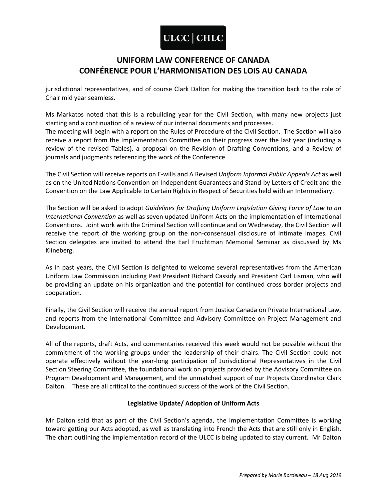## **UNIFORM LAW CONFERENCE OF CANADA CONFÉRENCE POUR L'HARMONISATION DES LOIS AU CANADA**

jurisdictional representatives, and of course Clark Dalton for making the transition back to the role of Chair mid year seamless.

Ms Markatos noted that this is a rebuilding year for the Civil Section, with many new projects just starting and a continuation of a review of our internal documents and processes.

The meeting will begin with a report on the Rules of Procedure of the Civil Section. The Section will also receive a report from the Implementation Committee on their progress over the last year (including a review of the revised Tables), a proposal on the Revision of Drafting Conventions, and a Review of journals and judgments referencing the work of the Conference.

The Civil Section will receive reports on E-wills and A Revised *Uniform Informal Public Appeals Act* as well as on the United Nations Convention on Independent Guarantees and Stand-by Letters of Credit and the Convention on the Law Applicable to Certain Rights in Respect of Securities held with an Intermediary.

The Section will be asked to adopt *Guidelines for Drafting Uniform Legislation Giving Force of Law to an International Convention* as well as seven updated Uniform Acts on the implementation of International Conventions. Joint work with the Criminal Section will continue and on Wednesday, the Civil Section will receive the report of the working group on the non-consensual disclosure of intimate images. Civil Section delegates are invited to attend the Earl Fruchtman Memorial Seminar as discussed by Ms Klineberg.

As in past years, the Civil Section is delighted to welcome several representatives from the American Uniform Law Commission including Past President Richard Cassidy and President Carl Lisman, who will be providing an update on his organization and the potential for continued cross border projects and cooperation.

Finally, the Civil Section will receive the annual report from Justice Canada on Private International Law, and reports from the International Committee and Advisory Committee on Project Management and Development.

All of the reports, draft Acts, and commentaries received this week would not be possible without the commitment of the working groups under the leadership of their chairs. The Civil Section could not operate effectively without the year-long participation of Jurisdictional Representatives in the Civil Section Steering Committee, the foundational work on projects provided by the Advisory Committee on Program Development and Management, and the unmatched support of our Projects Coordinator Clark Dalton. These are all critical to the continued success of the work of the Civil Section.

### **Legislative Update/ Adoption of Uniform Acts**

Mr Dalton said that as part of the Civil Section's agenda, the Implementation Committee is working toward getting our Acts adopted, as well as translating into French the Acts that are still only in English. The chart outlining the implementation record of the ULCC is being updated to stay current. Mr Dalton